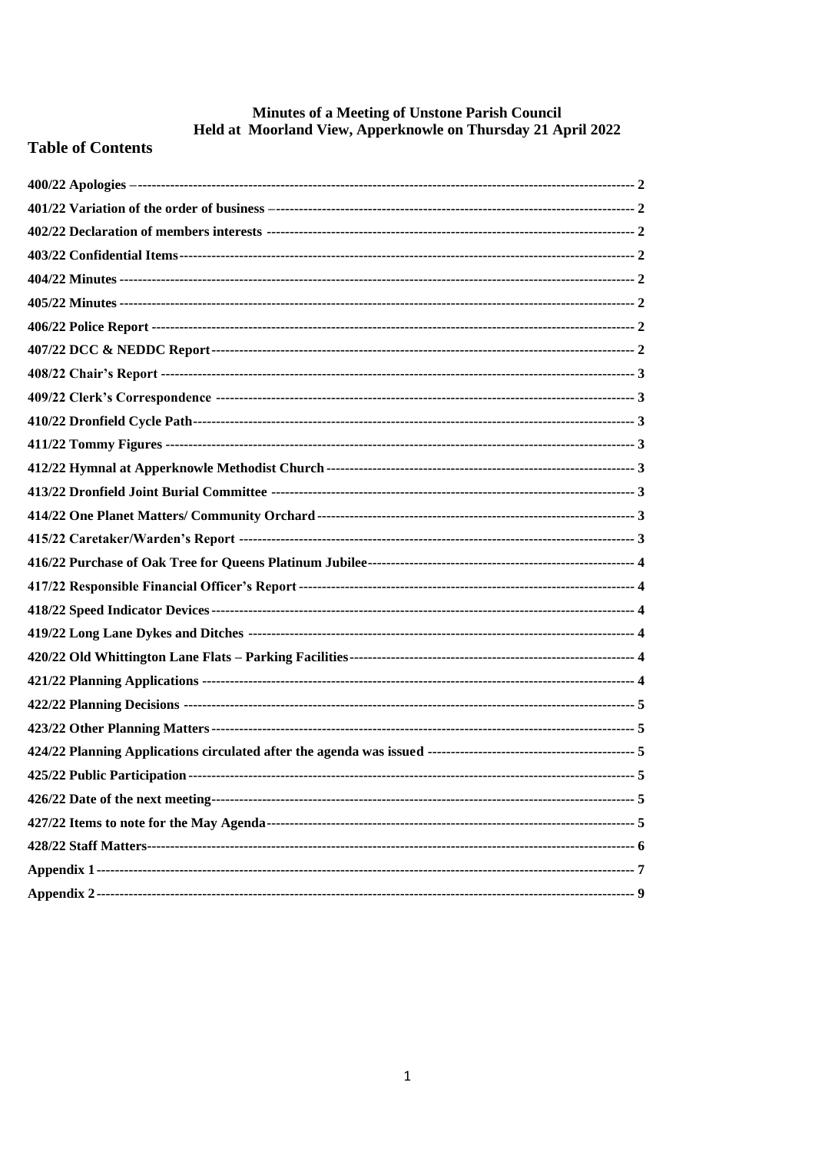# **Minutes of a Meeting of Unstone Parish Council<br>Held at Moorland View, Apperknowle on Thursday 21 April 2022**

# **Table of Contents**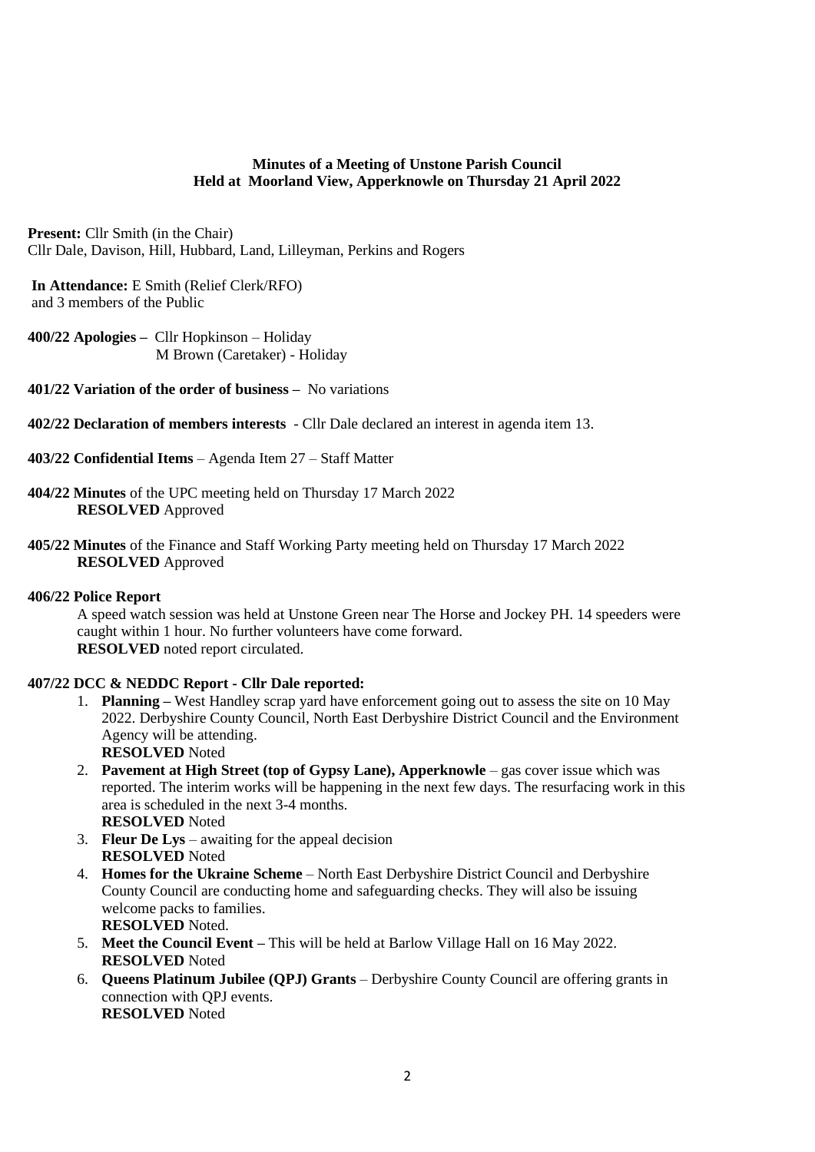# **Minutes of a Meeting of Unstone Parish Council Held at Moorland View, Apperknowle on Thursday 21 April 2022**

**Present:** Cllr Smith (in the Chair) Cllr Dale, Davison, Hill, Hubbard, Land, Lilleyman, Perkins and Rogers

**In Attendance:** E Smith (Relief Clerk/RFO) and 3 members of the Public

<span id="page-1-0"></span>**400/22 Apologies –** Cllr Hopkinson – Holiday M Brown (Caretaker) - Holiday

- <span id="page-1-1"></span>**401/22 Variation of the order of business –** No variations
- <span id="page-1-2"></span>**402/22 Declaration of members interests** - Cllr Dale declared an interest in agenda item 13.
- <span id="page-1-3"></span>**403/22 Confidential Items** – Agenda Item 27 – Staff Matter
- <span id="page-1-4"></span>**404/22 Minutes** of the UPC meeting held on Thursday 17 March 2022 **RESOLVED** Approved
- <span id="page-1-5"></span>**405/22 Minutes** of the Finance and Staff Working Party meeting held on Thursday 17 March 2022 **RESOLVED** Approved

# <span id="page-1-6"></span>**406/22 Police Report**

A speed watch session was held at Unstone Green near The Horse and Jockey PH. 14 speeders were caught within 1 hour. No further volunteers have come forward. **RESOLVED** noted report circulated.

# <span id="page-1-7"></span>**407/22 DCC & NEDDC Report - Cllr Dale reported:**

- 1. **Planning –** West Handley scrap yard have enforcement going out to assess the site on 10 May 2022. Derbyshire County Council, North East Derbyshire District Council and the Environment Agency will be attending. **RESOLVED** Noted
- 2. **Pavement at High Street (top of Gypsy Lane), Apperknowle** gas cover issue which was reported. The interim works will be happening in the next few days. The resurfacing work in this area is scheduled in the next 3-4 months. **RESOLVED** Noted
- 3. **Fleur De Lys** awaiting for the appeal decision **RESOLVED** Noted
- 4. **Homes for the Ukraine Scheme** North East Derbyshire District Council and Derbyshire County Council are conducting home and safeguarding checks. They will also be issuing welcome packs to families. **RESOLVED** Noted.
- 5. **Meet the Council Event –** This will be held at Barlow Village Hall on 16 May 2022. **RESOLVED** Noted
- 6. **Queens Platinum Jubilee (QPJ) Grants** Derbyshire County Council are offering grants in connection with QPJ events. **RESOLVED** Noted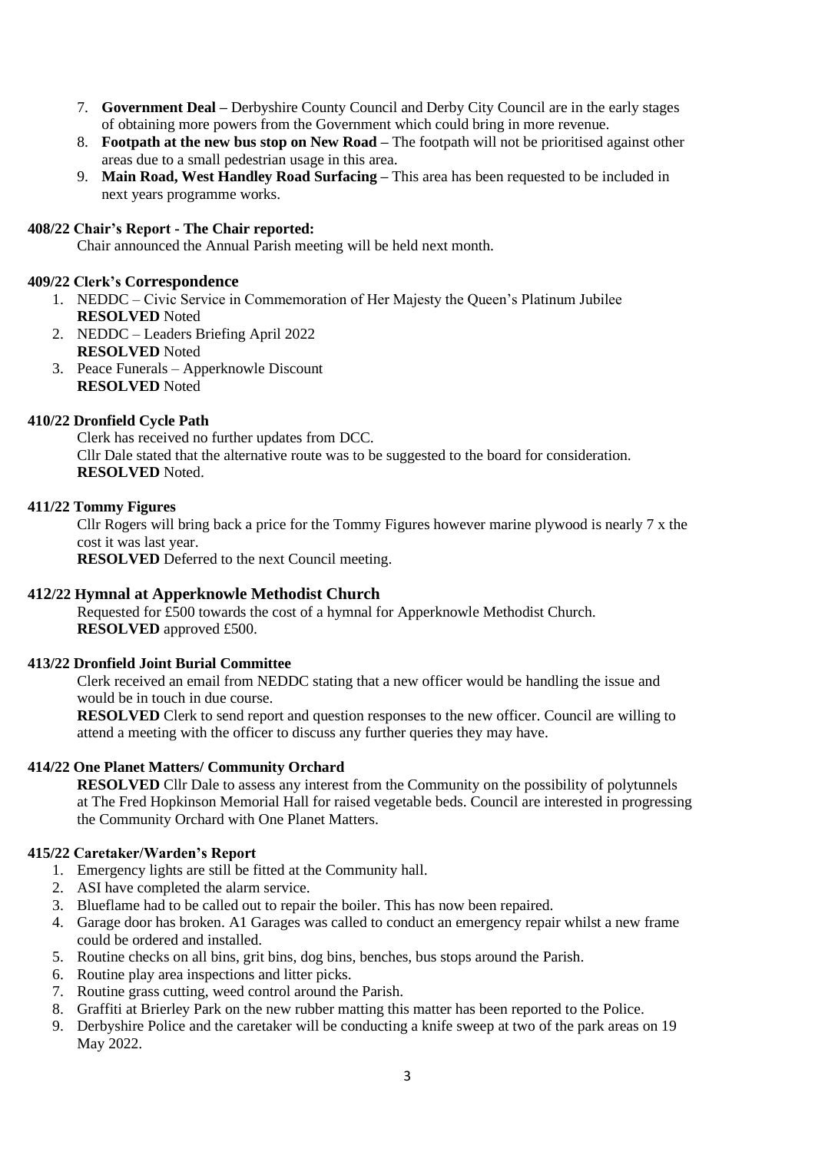- 7. **Government Deal –** Derbyshire County Council and Derby City Council are in the early stages of obtaining more powers from the Government which could bring in more revenue.
- 8. **Footpath at the new bus stop on New Road –** The footpath will not be prioritised against other areas due to a small pedestrian usage in this area.
- 9. **Main Road, West Handley Road Surfacing –** This area has been requested to be included in next years programme works.

# <span id="page-2-0"></span>**408/22 Chair's Report - The Chair reported:**

Chair announced the Annual Parish meeting will be held next month.

# <span id="page-2-1"></span>**409/22 Clerk's Correspondence**

- 1. NEDDC Civic Service in Commemoration of Her Majesty the Queen's Platinum Jubilee **RESOLVED** Noted
- 2. NEDDC Leaders Briefing April 2022 **RESOLVED** Noted
- 3. Peace Funerals Apperknowle Discount **RESOLVED** Noted

# <span id="page-2-2"></span>**410/22 Dronfield Cycle Path**

Clerk has received no further updates from DCC. Cllr Dale stated that the alternative route was to be suggested to the board for consideration. **RESOLVED** Noted.

# <span id="page-2-3"></span>**411/22 Tommy Figures**

Cllr Rogers will bring back a price for the Tommy Figures however marine plywood is nearly 7 x the cost it was last year.

**RESOLVED** Deferred to the next Council meeting.

# <span id="page-2-4"></span>**412/22 Hymnal at Apperknowle Methodist Church**

Requested for £500 towards the cost of a hymnal for Apperknowle Methodist Church. **RESOLVED** approved £500.

# <span id="page-2-5"></span>**413/22 Dronfield Joint Burial Committee**

Clerk received an email from NEDDC stating that a new officer would be handling the issue and would be in touch in due course.

**RESOLVED** Clerk to send report and question responses to the new officer. Council are willing to attend a meeting with the officer to discuss any further queries they may have.

# <span id="page-2-6"></span>**414/22 One Planet Matters/ Community Orchard**

**RESOLVED** Cllr Dale to assess any interest from the Community on the possibility of polytunnels at The Fred Hopkinson Memorial Hall for raised vegetable beds. Council are interested in progressing the Community Orchard with One Planet Matters.

# <span id="page-2-7"></span>**415/22 Caretaker/Warden's Report**

- 1. Emergency lights are still be fitted at the Community hall.
- 2. ASI have completed the alarm service.
- 3. Blueflame had to be called out to repair the boiler. This has now been repaired.
- 4. Garage door has broken. A1 Garages was called to conduct an emergency repair whilst a new frame could be ordered and installed.
- 5. Routine checks on all bins, grit bins, dog bins, benches, bus stops around the Parish.
- 6. Routine play area inspections and litter picks.
- 7. Routine grass cutting, weed control around the Parish.
- 8. Graffiti at Brierley Park on the new rubber matting this matter has been reported to the Police.
- 9. Derbyshire Police and the caretaker will be conducting a knife sweep at two of the park areas on 19 May 2022.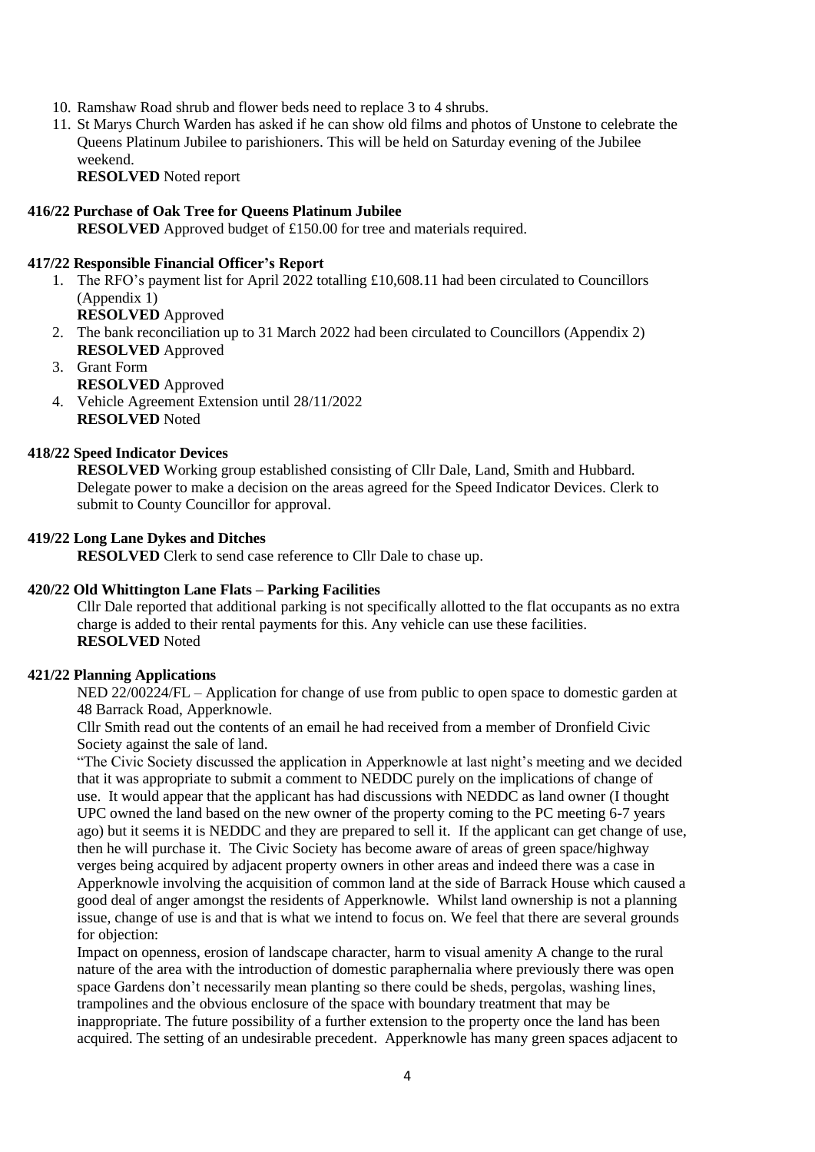- 10. Ramshaw Road shrub and flower beds need to replace 3 to 4 shrubs.
- 11. St Marys Church Warden has asked if he can show old films and photos of Unstone to celebrate the Queens Platinum Jubilee to parishioners. This will be held on Saturday evening of the Jubilee weekend.

**RESOLVED** Noted report

# <span id="page-3-0"></span>**416/22 Purchase of Oak Tree for Queens Platinum Jubilee**

**RESOLVED** Approved budget of £150.00 for tree and materials required.

# <span id="page-3-1"></span>**417/22 Responsible Financial Officer's Report**

1. The RFO's payment list for April 2022 totalling £10,608.11 had been circulated to Councillors (Appendix 1)

**RESOLVED** Approved

- 2. The bank reconciliation up to 31 March 2022 had been circulated to Councillors (Appendix 2) **RESOLVED** Approved
- 3. Grant Form **RESOLVED** Approved
- 4. Vehicle Agreement Extension until 28/11/2022 **RESOLVED** Noted

# <span id="page-3-2"></span>**418/22 Speed Indicator Devices**

**RESOLVED** Working group established consisting of Cllr Dale, Land, Smith and Hubbard. Delegate power to make a decision on the areas agreed for the Speed Indicator Devices. Clerk to submit to County Councillor for approval.

# <span id="page-3-3"></span>**419/22 Long Lane Dykes and Ditches**

**RESOLVED** Clerk to send case reference to Cllr Dale to chase up.

# <span id="page-3-4"></span>**420/22 Old Whittington Lane Flats – Parking Facilities**

Cllr Dale reported that additional parking is not specifically allotted to the flat occupants as no extra charge is added to their rental payments for this. Any vehicle can use these facilities. **RESOLVED** Noted

# <span id="page-3-5"></span>**421/22 Planning Applications**

NED 22/00224/FL – Application for change of use from public to open space to domestic garden at 48 Barrack Road, Apperknowle.

Cllr Smith read out the contents of an email he had received from a member of Dronfield Civic Society against the sale of land.

"The Civic Society discussed the application in Apperknowle at last night's meeting and we decided that it was appropriate to submit a comment to NEDDC purely on the implications of change of use. It would appear that the applicant has had discussions with NEDDC as land owner (I thought UPC owned the land based on the new owner of the property coming to the PC meeting 6-7 years ago) but it seems it is NEDDC and they are prepared to sell it. If the applicant can get change of use, then he will purchase it. The Civic Society has become aware of areas of green space/highway verges being acquired by adjacent property owners in other areas and indeed there was a case in Apperknowle involving the acquisition of common land at the side of Barrack House which caused a good deal of anger amongst the residents of Apperknowle. Whilst land ownership is not a planning issue, change of use is and that is what we intend to focus on. We feel that there are several grounds for objection:

Impact on openness, erosion of landscape character, harm to visual amenity A change to the rural nature of the area with the introduction of domestic paraphernalia where previously there was open space Gardens don't necessarily mean planting so there could be sheds, pergolas, washing lines, trampolines and the obvious enclosure of the space with boundary treatment that may be inappropriate. The future possibility of a further extension to the property once the land has been acquired. The setting of an undesirable precedent. Apperknowle has many green spaces adjacent to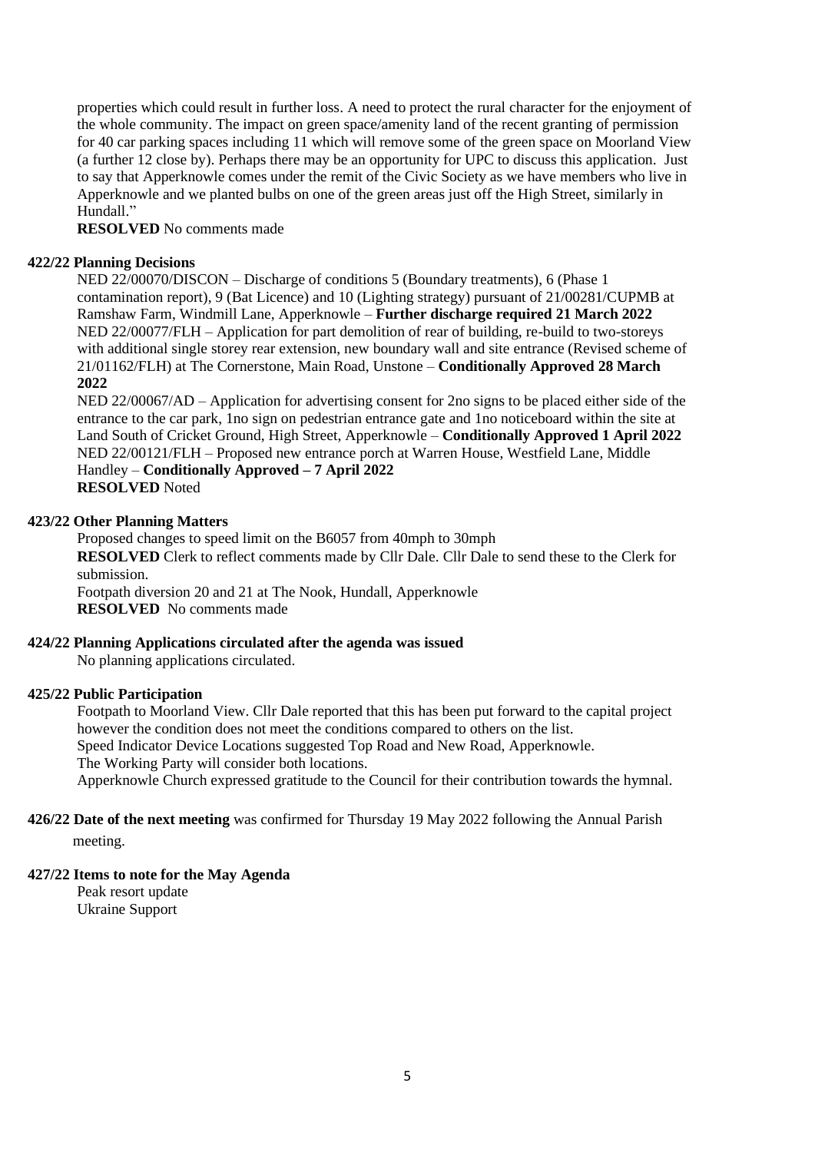properties which could result in further loss. A need to protect the rural character for the enjoyment of the whole community. The impact on green space/amenity land of the recent granting of permission for 40 car parking spaces including 11 which will remove some of the green space on Moorland View (a further 12 close by). Perhaps there may be an opportunity for UPC to discuss this application. Just to say that Apperknowle comes under the remit of the Civic Society as we have members who live in Apperknowle and we planted bulbs on one of the green areas just off the High Street, similarly in Hundall<sup>"</sup>

**RESOLVED** No comments made

# <span id="page-4-0"></span>**422/22 Planning Decisions**

NED 22/00070/DISCON – Discharge of conditions 5 (Boundary treatments), 6 (Phase 1 contamination report), 9 (Bat Licence) and 10 (Lighting strategy) pursuant of 21/00281/CUPMB at Ramshaw Farm, Windmill Lane, Apperknowle – **Further discharge required 21 March 2022** NED 22/00077/FLH – Application for part demolition of rear of building, re-build to two-storeys with additional single storey rear extension, new boundary wall and site entrance (Revised scheme of 21/01162/FLH) at The Cornerstone, Main Road, Unstone – **Conditionally Approved 28 March 2022**

NED 22/00067/AD – Application for advertising consent for 2no signs to be placed either side of the entrance to the car park, 1no sign on pedestrian entrance gate and 1no noticeboard within the site at Land South of Cricket Ground, High Street, Apperknowle – **Conditionally Approved 1 April 2022** NED 22/00121/FLH – Proposed new entrance porch at Warren House, Westfield Lane, Middle Handley – **Conditionally Approved – 7 April 2022 RESOLVED** Noted

#### <span id="page-4-1"></span>**423/22 Other Planning Matters**

Proposed changes to speed limit on the B6057 from 40mph to 30mph **RESOLVED** Clerk to reflect comments made by Cllr Dale. Cllr Dale to send these to the Clerk for submission.

Footpath diversion 20 and 21 at The Nook, Hundall, Apperknowle **RESOLVED** No comments made

# <span id="page-4-2"></span>**424/22 Planning Applications circulated after the agenda was issued**

No planning applications circulated.

#### <span id="page-4-3"></span>**425/22 Public Participation**

Footpath to Moorland View. Cllr Dale reported that this has been put forward to the capital project however the condition does not meet the conditions compared to others on the list. Speed Indicator Device Locations suggested Top Road and New Road, Apperknowle. The Working Party will consider both locations. Apperknowle Church expressed gratitude to the Council for their contribution towards the hymnal.

# <span id="page-4-4"></span>**426/22 Date of the next meeting** was confirmed for Thursday 19 May 2022 following the Annual Parish

meeting.

# <span id="page-4-5"></span>**427/22 Items to note for the May Agenda**

Peak resort update Ukraine Support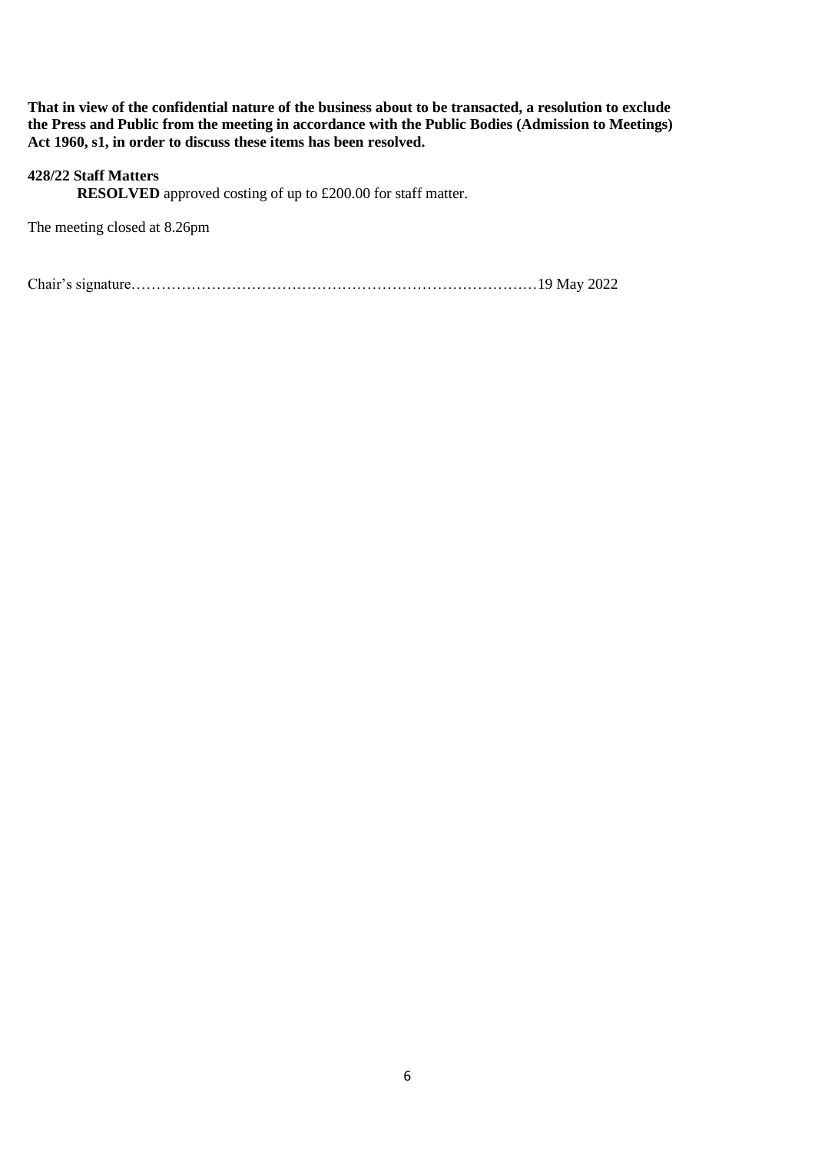**That in view of the confidential nature of the business about to be transacted, a resolution to exclude the Press and Public from the meeting in accordance with the Public Bodies (Admission to Meetings) Act 1960, s1, in order to discuss these items has been resolved.**

# <span id="page-5-0"></span>**428/22 Staff Matters**

**RESOLVED** approved costing of up to £200.00 for staff matter.

The meeting closed at 8.26pm

Chair's signature………………………………………………………………………19 May 2022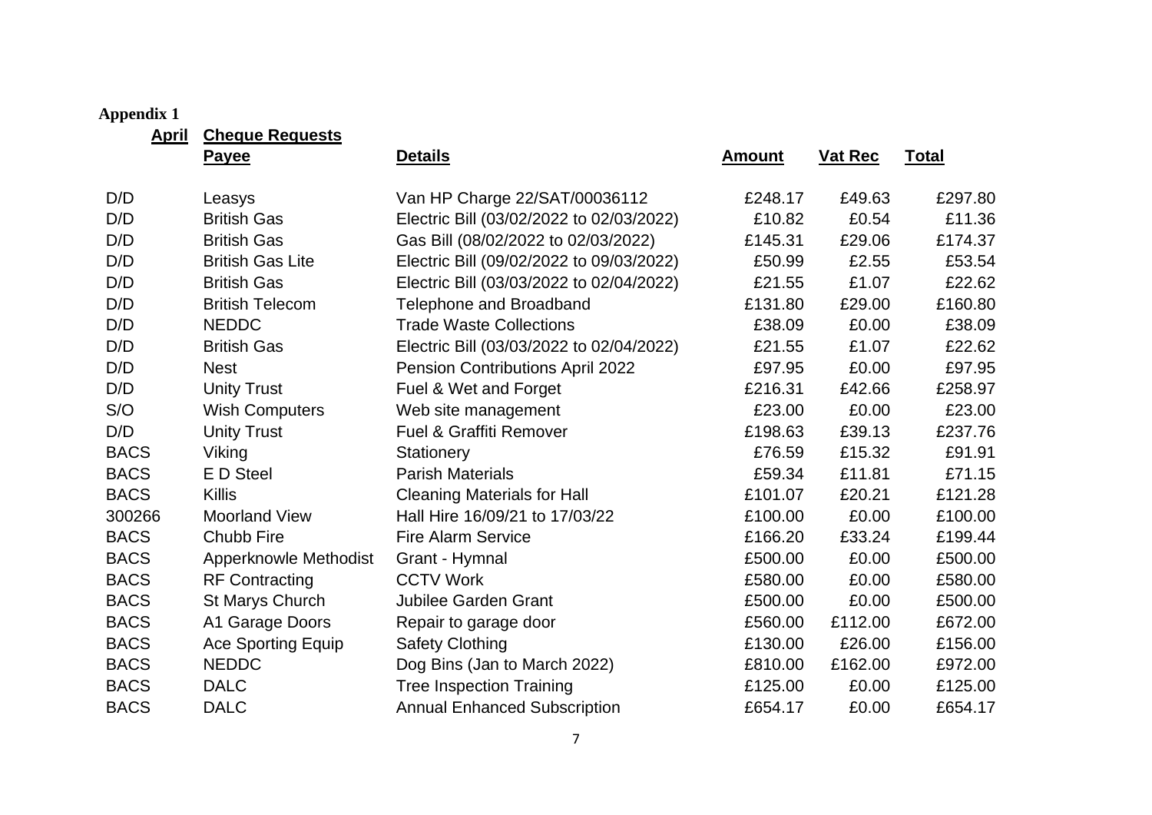# **Appendix 1**

**April Cheque Requests**

<span id="page-6-0"></span>

| <u>, , , , , ,</u> | <u>Shoquo Roquouo</u>        |                                          |               |                |              |
|--------------------|------------------------------|------------------------------------------|---------------|----------------|--------------|
|                    | <b>Payee</b>                 | <b>Details</b>                           | <b>Amount</b> | <b>Vat Rec</b> | <b>Total</b> |
| D/D                | Leasys                       | Van HP Charge 22/SAT/00036112            | £248.17       | £49.63         | £297.80      |
| D/D                | <b>British Gas</b>           | Electric Bill (03/02/2022 to 02/03/2022) | £10.82        | £0.54          | £11.36       |
| D/D                | <b>British Gas</b>           | Gas Bill (08/02/2022 to 02/03/2022)      | £145.31       | £29.06         | £174.37      |
| D/D                | <b>British Gas Lite</b>      | Electric Bill (09/02/2022 to 09/03/2022) | £50.99        | £2.55          | £53.54       |
| D/D                | <b>British Gas</b>           | Electric Bill (03/03/2022 to 02/04/2022) | £21.55        | £1.07          | £22.62       |
| D/D                | <b>British Telecom</b>       | Telephone and Broadband                  | £131.80       | £29.00         | £160.80      |
| D/D                | <b>NEDDC</b>                 | <b>Trade Waste Collections</b>           | £38.09        | £0.00          | £38.09       |
| D/D                | <b>British Gas</b>           | Electric Bill (03/03/2022 to 02/04/2022) | £21.55        | £1.07          | £22.62       |
| D/D                | <b>Nest</b>                  | Pension Contributions April 2022         | £97.95        | £0.00          | £97.95       |
| D/D                | <b>Unity Trust</b>           | Fuel & Wet and Forget                    | £216.31       | £42.66         | £258.97      |
| S/O                | <b>Wish Computers</b>        | Web site management                      | £23.00        | £0.00          | £23.00       |
| D/D                | <b>Unity Trust</b>           | <b>Fuel &amp; Graffiti Remover</b>       | £198.63       | £39.13         | £237.76      |
| <b>BACS</b>        | Viking                       | Stationery                               | £76.59        | £15.32         | £91.91       |
| <b>BACS</b>        | E D Steel                    | <b>Parish Materials</b>                  | £59.34        | £11.81         | £71.15       |
| <b>BACS</b>        | <b>Killis</b>                | <b>Cleaning Materials for Hall</b>       | £101.07       | £20.21         | £121.28      |
| 300266             | <b>Moorland View</b>         | Hall Hire 16/09/21 to 17/03/22           | £100.00       | £0.00          | £100.00      |
| <b>BACS</b>        | Chubb Fire                   | <b>Fire Alarm Service</b>                | £166.20       | £33.24         | £199.44      |
| <b>BACS</b>        | <b>Apperknowle Methodist</b> | Grant - Hymnal                           | £500.00       | £0.00          | £500.00      |
| <b>BACS</b>        | <b>RF Contracting</b>        | <b>CCTV Work</b>                         | £580.00       | £0.00          | £580.00      |
| <b>BACS</b>        | St Marys Church              | <b>Jubilee Garden Grant</b>              | £500.00       | £0.00          | £500.00      |
| <b>BACS</b>        | A1 Garage Doors              | Repair to garage door                    | £560.00       | £112.00        | £672.00      |
| <b>BACS</b>        | <b>Ace Sporting Equip</b>    | <b>Safety Clothing</b>                   | £130.00       | £26.00         | £156.00      |
| <b>BACS</b>        | <b>NEDDC</b>                 | Dog Bins (Jan to March 2022)             | £810.00       | £162.00        | £972.00      |
| <b>BACS</b>        | <b>DALC</b>                  | <b>Tree Inspection Training</b>          | £125.00       | £0.00          | £125.00      |
| <b>BACS</b>        | <b>DALC</b>                  | <b>Annual Enhanced Subscription</b>      | £654.17       | £0.00          | £654.17      |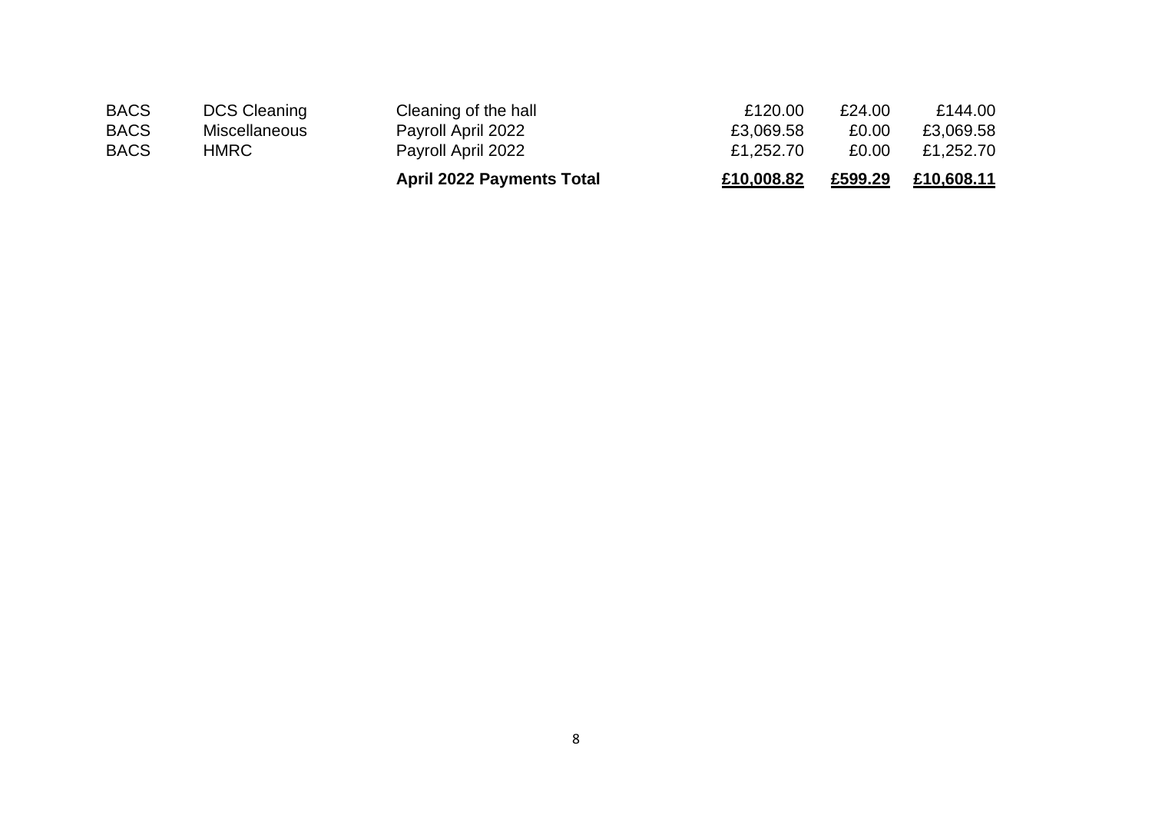|             |                      | <b>April 2022 Payments Total</b> | £10,008.82 | £599.29 | £10,608.11 |
|-------------|----------------------|----------------------------------|------------|---------|------------|
| <b>BACS</b> | HMRC                 | Payroll April 2022               | £1,252.70  | £0.00   | £1,252.70  |
| <b>BACS</b> | <b>Miscellaneous</b> | Payroll April 2022               | £3,069.58  | £0.00   | £3,069.58  |
| <b>BACS</b> | DCS Cleaning         | Cleaning of the hall             | £120.00    | £24.00  | £144.00    |